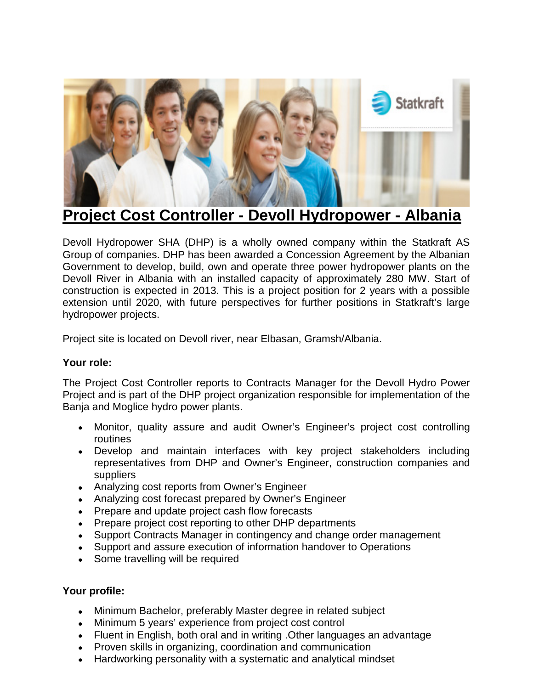

## **Project Cost Controller - Devoll Hydropower - Albania**

Devoll Hydropower SHA (DHP) is a wholly owned company within the Statkraft AS Group of companies. DHP has been awarded a Concession Agreement by the Albanian Government to develop, build, own and operate three power hydropower plants on the Devoll River in Albania with an installed capacity of approximately 280 MW. Start of construction is expected in 2013. This is a project position for 2 years with a possible extension until 2020, with future perspectives for further positions in Statkraft's large hydropower projects.

Project site is located on Devoll river, near Elbasan, Gramsh/Albania.

## **Your role:**

The Project Cost Controller reports to Contracts Manager for the Devoll Hydro Power Project and is part of the DHP project organization responsible for implementation of the Banja and Moglice hydro power plants.

- Monitor, quality assure and audit Owner's Engineer's project cost controlling routines
- Develop and maintain interfaces with key project stakeholders including representatives from DHP and Owner's Engineer, construction companies and suppliers
- Analyzing cost reports from Owner's Engineer
- Analyzing cost forecast prepared by Owner's Engineer
- Prepare and update project cash flow forecasts
- Prepare project cost reporting to other DHP departments
- Support Contracts Manager in contingency and change order management
- Support and assure execution of information handover to Operations
- Some travelling will be required

## **Your profile:**

- Minimum Bachelor, preferably Master degree in related subject
- Minimum 5 years' experience from project cost control
- Fluent in English, both oral and in writing .Other languages an advantage
- Proven skills in organizing, coordination and communication
- Hardworking personality with a systematic and analytical mindset